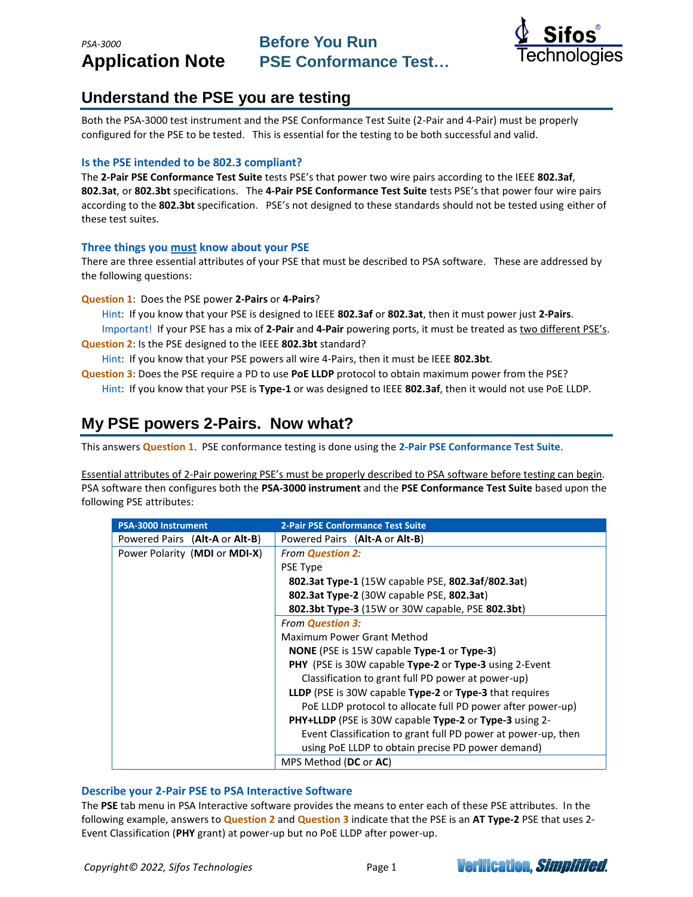

### **Understand the PSE you are testing**

Both the PSA-3000 test instrument and the PSE Conformance Test Suite (2-Pair and 4-Pair) must be properly configured for the PSE to be tested. This is essential for the testing to be both successful and valid.

### **Is the PSE intended to be 802.3 compliant?**

The **2-Pair PSE Conformance Test Suite** tests PSE's that power two wire pairs according to the IEEE **802.3af**, **802.3at**, or **802.3bt** specifications. The **4-Pair PSE Conformance Test Suite** tests PSE's that power four wire pairs according to the **802.3bt** specification. PSE's not designed to these standards should not be tested using either of these test suites.

### **Three things you must know about your PSE**

There are three essential attributes of your PSE that must be described to PSA software. These are addressed by the following questions:

**Question 1**: Does the PSE power **2-Pairs** or **4-Pairs**?

Hint: If you know that your PSE is designed to IEEE **802.3af** or **802.3at**, then it must power just **2-Pairs**. Important! If your PSE has a mix of **2-Pair** and **4-Pair** powering ports, it must be treated as two different PSE's. **Question 2**: Is the PSE designed to the IEEE **802.3bt** standard?

Hint: If you know that your PSE powers all wire 4-Pairs, then it must be IEEE **802.3bt**.

**Question 3**: Does the PSE require a PD to use **PoE LLDP** protocol to obtain maximum power from the PSE? Hint: If you know that your PSE is **Type-1** or was designed to IEEE **802.3af**, then it would not use PoE LLDP.

## **My PSE powers 2-Pairs. Now what?**

This answers **Question 1**. PSE conformance testing is done using the **2-Pair PSE Conformance Test Suite**.

Essential attributes of 2-Pair powering PSE's must be properly described to PSA software before testing can begin. PSA software then configures both the **PSA-3000 instrument** and the **PSE Conformance Test Suite** based upon the following PSE attributes:

| <b>PSA-3000 Instrument</b>     | <b>2-Pair PSE Conformance Test Suite</b>                         |
|--------------------------------|------------------------------------------------------------------|
| Powered Pairs (Alt-A or Alt-B) | Powered Pairs (Alt-A or Alt-B)                                   |
| Power Polarity (MDI or MDI-X)  | <b>From Question 2:</b>                                          |
|                                | <b>PSE Type</b>                                                  |
|                                | 802.3at Type-1 (15W capable PSE, 802.3af/802.3at)                |
|                                | 802.3at Type-2 (30W capable PSE, 802.3at)                        |
|                                | 802.3bt Type-3 (15W or 30W capable, PSE 802.3bt)                 |
|                                | <b>From Question 3:</b>                                          |
|                                | Maximum Power Grant Method                                       |
|                                | <b>NONE</b> (PSE is 15W capable <b>Type-1</b> or <b>Type-3</b> ) |
|                                | <b>PHY</b> (PSE is 30W capable Type-2 or Type-3 using 2-Event    |
|                                | Classification to grant full PD power at power-up)               |
|                                | LLDP (PSE is 30W capable Type-2 or Type-3 that requires          |
|                                | PoE LLDP protocol to allocate full PD power after power-up)      |
|                                | PHY+LLDP (PSE is 30W capable Type-2 or Type-3 using 2-           |
|                                | Event Classification to grant full PD power at power-up, then    |
|                                | using PoE LLDP to obtain precise PD power demand)                |
|                                | MPS Method (DC or AC)                                            |

### **Describe your 2-Pair PSE to PSA Interactive Software**

The **PSE** tab menu in PSA Interactive software provides the means to enter each of these PSE attributes. In the following example, answers to **Question 2** and **Question 3** indicate that the PSE is an **AT Type-2** PSE that uses 2- Event Classification (**PHY** grant) at power-up but no PoE LLDP after power-up.

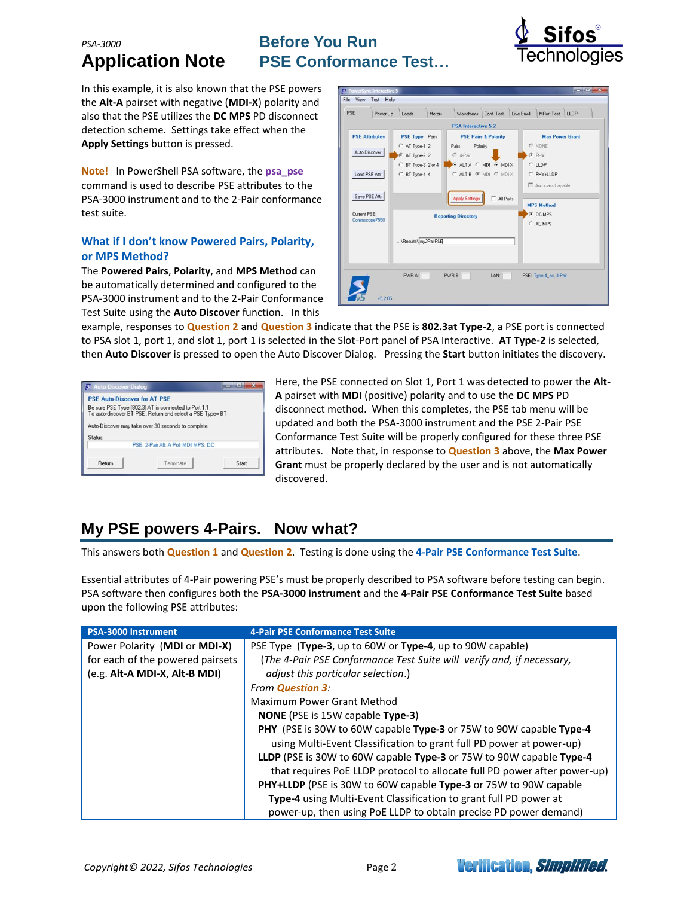# **PSA-3000 Before You Run**

# **Application Note PSE Conformance Test…**



In this example, it is also known that the PSE powers the **Alt-A** pairset with negative (**MDI-X**) polarity and also that the PSE utilizes the **DC MPS** PD disconnect detection scheme. Settings take effect when the **Apply Settings** button is pressed.

**Note!** In PowerShell PSA software, the **psa\_pse** command is used to describe PSE attributes to the PSA-3000 instrument and to the 2-Pair conformance test suite.

### **What if I don't know Powered Pairs, Polarity, or MPS Method?**

The **Powered Pairs**, **Polarity**, and **MPS Method** can be automatically determined and configured to the PSA-3000 instrument and to the 2-Pair Conformance Test Suite using the **Auto Discover** function. In this

| <b>PSE Attributes</b>                           |                                                                                                | <b>PSA</b> Interactive 5.2                                                                                |                                                     |                                                                                                             |
|-------------------------------------------------|------------------------------------------------------------------------------------------------|-----------------------------------------------------------------------------------------------------------|-----------------------------------------------------|-------------------------------------------------------------------------------------------------------------|
|                                                 |                                                                                                |                                                                                                           |                                                     |                                                                                                             |
| Auto Discover<br>Load PSE Attr<br>Save PSE Attr | <b>PSE Type Pairs</b><br>C AT Type-1 2<br>G AT Type-2 2<br>C BT Type-3 2 or 4<br>C BT Type-4 4 | Polarity<br>Pairs<br>$C$ 4-Pair<br><b>CALTA CMDI GMDIX</b><br>CALTB G MDI C MDIX<br><b>Apply Settings</b> | <b>PSE Pairs &amp; Polarity</b><br>$\Box$ All Ports | <b>Max Power Grant</b><br>C NONE<br>$F$ PHY<br>CLDP<br>C PHY+LLDP<br>Autoclass Capable<br><b>MPS Method</b> |
| Current PSE:<br>Commscope7550                   | \Results\ my2PairPSE                                                                           | <b>Reporting Directory</b>                                                                                |                                                     | C DC MPS<br>C AC MPS                                                                                        |

example, responses to **Question 2** and **Question 3** indicate that the PSE is **802.3at Type-2**, a PSE port is connected to PSA slot 1, port 1, and slot 1, port 1 is selected in the Slot-Port panel of PSA Interactive. **AT Type-2** is selected, then **Auto Discover** is pressed to open the Auto Discover Dialog. Pressing the **Start** button initiates the discovery.

| <b>PSE Auto-Discover for AT PSE</b> |                                                           |       |
|-------------------------------------|-----------------------------------------------------------|-------|
|                                     | Be sure PSE Type (802.3) AT is connected to Port 1,1      |       |
|                                     | To auto-discover BT PSE, Return and select a PSE Type= BT |       |
|                                     |                                                           |       |
|                                     |                                                           |       |
|                                     | Auto-Discover may take over 30 seconds to complete.       |       |
|                                     |                                                           |       |
|                                     | PSE: 2-Pair Alt: A Pol: MDI MPS: DC                       |       |
| Status:                             |                                                           |       |
| Return                              | Terminate                                                 | Start |

Here, the PSE connected on Slot 1, Port 1 was detected to power the **Alt-A** pairset with **MDI** (positive) polarity and to use the **DC MPS** PD disconnect method. When this completes, the PSE tab menu will be updated and both the PSA-3000 instrument and the PSE 2-Pair PSE Conformance Test Suite will be properly configured for these three PSE attributes. Note that, in response to **Question 3** above, the **Max Power Grant** must be properly declared by the user and is not automatically discovered.

# **My PSE powers 4-Pairs. Now what?**

This answers both **Question 1** and **Question 2**. Testing is done using the **4-Pair PSE Conformance Test Suite**.

Essential attributes of 4-Pair powering PSE's must be properly described to PSA software before testing can begin. PSA software then configures both the **PSA-3000 instrument** and the **4-Pair PSE Conformance Test Suite** based upon the following PSE attributes:

| PSA-3000 Instrument              | <b>4-Pair PSE Conformance Test Suite</b>                                  |
|----------------------------------|---------------------------------------------------------------------------|
| Power Polarity (MDI or MDI-X)    | PSE Type (Type-3, up to 60W or Type-4, up to 90W capable)                 |
| for each of the powered pairsets | (The 4-Pair PSE Conformance Test Suite will verify and, if necessary,     |
| (e.g. Alt-A MDI-X, Alt-B MDI)    | adjust this particular selection.)                                        |
|                                  | <b>From Question 3:</b>                                                   |
|                                  | Maximum Power Grant Method                                                |
|                                  | <b>NONE</b> (PSE is 15W capable <b>Type-3)</b>                            |
|                                  | <b>PHY</b> (PSE is 30W to 60W capable Type-3 or 75W to 90W capable Type-4 |
|                                  | using Multi-Event Classification to grant full PD power at power-up)      |
|                                  | LLDP (PSE is 30W to 60W capable Type-3 or 75W to 90W capable Type-4       |
|                                  | that requires PoE LLDP protocol to allocate full PD power after power-up) |
|                                  | PHY+LLDP (PSE is 30W to 60W capable Type-3 or 75W to 90W capable          |
|                                  | Type-4 using Multi-Event Classification to grant full PD power at         |
|                                  | power-up, then using PoE LLDP to obtain precise PD power demand)          |



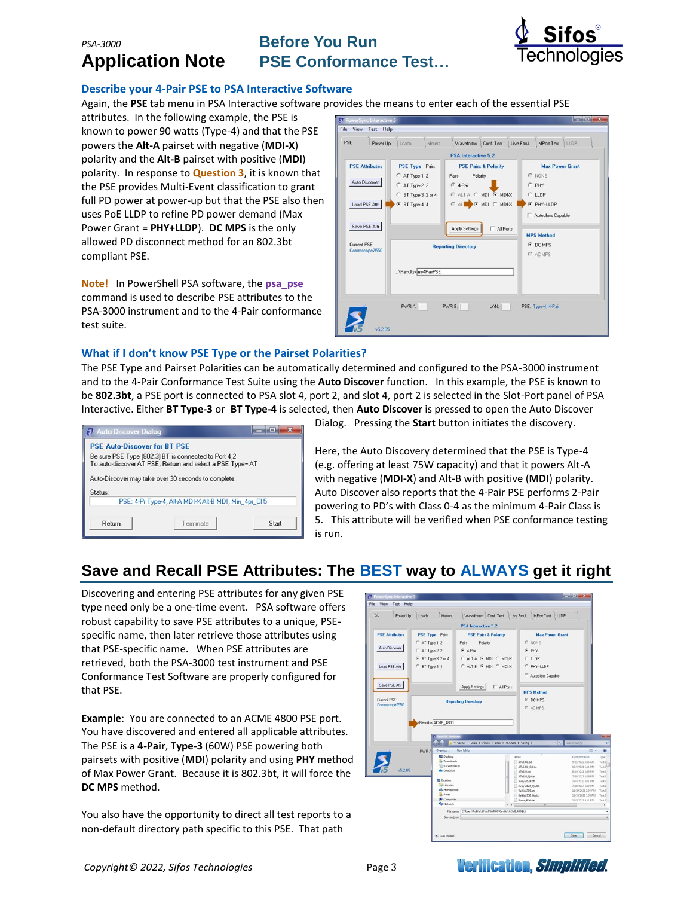*PSA-3000* **Before You Run Application Note PSE Conformance Test…**



### **Describe your 4-Pair PSE to PSA Interactive Software**

Again, the **PSE** tab menu in PSA Interactive software provides the means to enter each of the essential PSE

attributes. In the following example, the PSE is known to power 90 watts (Type-4) and that the PSE powers the **Alt-A** pairset with negative (**MDI-X**) polarity and the **Alt-B** pairset with positive (**MDI**) polarity. In response to **Question 3**, it is known that the PSE provides Multi-Event classification to grant full PD power at power-up but that the PSE also then uses PoE LLDP to refine PD power demand (Max Power Grant = **PHY+LLDP**). **DC MPS** is the only allowed PD disconnect method for an 802.3bt compliant PSE.

**Note!** In PowerShell PSA software, the **psa\_pse** command is used to describe PSE attributes to the PSA-3000 instrument and to the 4-Pair conformance test suite.

| <b>PSE Attributes</b><br><b>PSE Type Pairs</b><br>C AT Type-1 2<br>Auto Discover<br>C AT Type-2 2<br>C BT Type-3 2 or 4<br>Load PSE Attr<br>G BT Type-4 4 | <b>PSA</b> Interactive 5.2<br><b>PSE Pairs &amp; Polarity</b><br>Polarity<br>Pairs<br>$G$ 4-Pair | <b>Max Power Grant</b><br>C NONE                                      |
|-----------------------------------------------------------------------------------------------------------------------------------------------------------|--------------------------------------------------------------------------------------------------|-----------------------------------------------------------------------|
|                                                                                                                                                           |                                                                                                  |                                                                       |
| Save PSE Attr                                                                                                                                             | CALTA C MDI G MDIX<br>CALL CMDI CMDIX<br>Apply Settings<br>$\Box$ All Ports                      | C PHY<br>CLDP<br>F PHY+LLDP<br>Autoclass Capable<br><b>MPS Method</b> |
| Current PSE:<br>Commscope7550<br>\Results\ my4PairPSE                                                                                                     | <b>Reporting Directory</b>                                                                       | G DC MPS<br>C AC MPS                                                  |

### **What if I don't know PSE Type or the Pairset Polarities?**

The PSE Type and Pairset Polarities can be automatically determined and configured to the PSA-3000 instrument and to the 4-Pair Conformance Test Suite using the **Auto Discover** function. In this example, the PSE is known to be **802.3bt**, a PSE port is connected to PSA slot 4, port 2, and slot 4, port 2 is selected in the Slot-Port panel of PSA Interactive. Either **BT Type-3** or **BT Type-4** is selected, then **Auto Discover** is pressed to open the Auto Discover



Dialog. Pressing the **Start** button initiates the discovery.

Here, the Auto Discovery determined that the PSE is Type-4 (e.g. offering at least 75W capacity) and that it powers Alt-A with negative (**MDI-X**) and Alt-B with positive (**MDI**) polarity. Auto Discover also reports that the 4-Pair PSE performs 2-Pair powering to PD's with Class 0-4 as the minimum 4-Pair Class is 5. This attribute will be verified when PSE conformance testing is run.

# **Save and Recall PSE Attributes: The BEST way to ALWAYS get it right**

Discovering and entering PSE attributes for any given PSE type need only be a one-time event. PSA software offers robust capability to save PSE attributes to a unique, PSEspecific name, then later retrieve those attributes using that PSE-specific name. When PSE attributes are retrieved, both the PSA-3000 test instrument and PSE Conformance Test Software are properly configured for that PSE.

**Example**: You are connected to an ACME 4800 PSE port. You have discovered and entered all applicable attributes. The PSE is a **4-Pair**, **Type-3** (60W) PSE powering both pairsets with positive (**MDI**) polarity and using **PHY** method of Max Power Grant. Because it is 802.3bt, it will force the **DC MPS** method.

You also have the opportunity to direct all test reports to a non-default directory path specific to this PSE. That path